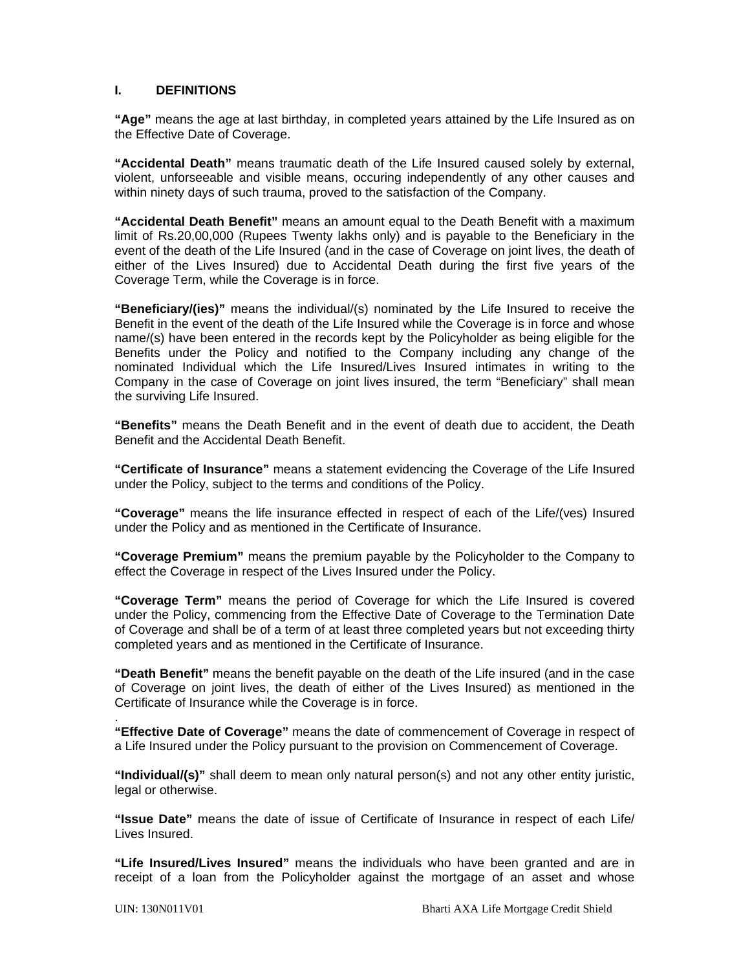#### **I. DEFINITIONS**

**"Age"** means the age at last birthday, in completed years attained by the Life Insured as on the Effective Date of Coverage.

**"Accidental Death"** means traumatic death of the Life Insured caused solely by external, violent, unforseeable and visible means, occuring independently of any other causes and within ninety days of such trauma, proved to the satisfaction of the Company.

**"Accidental Death Benefit"** means an amount equal to the Death Benefit with a maximum limit of Rs.20,00,000 (Rupees Twenty lakhs only) and is payable to the Beneficiary in the event of the death of the Life Insured (and in the case of Coverage on joint lives, the death of either of the Lives Insured) due to Accidental Death during the first five years of the Coverage Term, while the Coverage is in force.

**"Beneficiary/(ies)"** means the individual/(s) nominated by the Life Insured to receive the Benefit in the event of the death of the Life Insured while the Coverage is in force and whose name/(s) have been entered in the records kept by the Policyholder as being eligible for the Benefits under the Policy and notified to the Company including any change of the nominated Individual which the Life Insured/Lives Insured intimates in writing to the Company in the case of Coverage on joint lives insured, the term "Beneficiary" shall mean the surviving Life Insured.

**"Benefits"** means the Death Benefit and in the event of death due to accident, the Death Benefit and the Accidental Death Benefit.

**"Certificate of Insurance"** means a statement evidencing the Coverage of the Life Insured under the Policy, subject to the terms and conditions of the Policy.

**"Coverage"** means the life insurance effected in respect of each of the Life/(ves) Insured under the Policy and as mentioned in the Certificate of Insurance.

**"Coverage Premium"** means the premium payable by the Policyholder to the Company to effect the Coverage in respect of the Lives Insured under the Policy.

**"Coverage Term"** means the period of Coverage for which the Life Insured is covered under the Policy, commencing from the Effective Date of Coverage to the Termination Date of Coverage and shall be of a term of at least three completed years but not exceeding thirty completed years and as mentioned in the Certificate of Insurance.

**"Death Benefit"** means the benefit payable on the death of the Life insured (and in the case of Coverage on joint lives, the death of either of the Lives Insured) as mentioned in the Certificate of Insurance while the Coverage is in force.

. **"Effective Date of Coverage"** means the date of commencement of Coverage in respect of a Life Insured under the Policy pursuant to the provision on Commencement of Coverage.

**"Individual/(s)"** shall deem to mean only natural person(s) and not any other entity juristic, legal or otherwise.

**"Issue Date"** means the date of issue of Certificate of Insurance in respect of each Life/ Lives Insured.

**"Life Insured/Lives Insured"** means the individuals who have been granted and are in receipt of a loan from the Policyholder against the mortgage of an asset and whose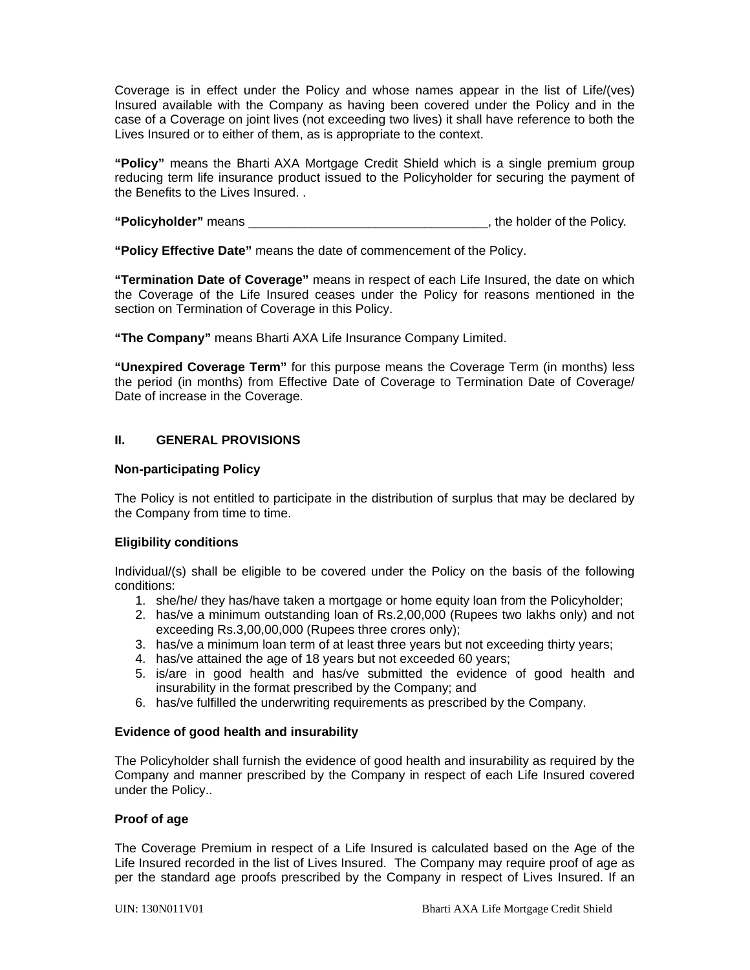Coverage is in effect under the Policy and whose names appear in the list of Life/(ves) Insured available with the Company as having been covered under the Policy and in the case of a Coverage on joint lives (not exceeding two lives) it shall have reference to both the Lives Insured or to either of them, as is appropriate to the context.

**"Policy"** means the Bharti AXA Mortgage Credit Shield which is a single premium group reducing term life insurance product issued to the Policyholder for securing the payment of the Benefits to the Lives Insured. .

**"Policyholder"** means **the substitutive of the Policy.** The holder of the Policy.

**"Policy Effective Date"** means the date of commencement of the Policy.

**"Termination Date of Coverage"** means in respect of each Life Insured, the date on which the Coverage of the Life Insured ceases under the Policy for reasons mentioned in the section on Termination of Coverage in this Policy.

**"The Company"** means Bharti AXA Life Insurance Company Limited.

**"Unexpired Coverage Term"** for this purpose means the Coverage Term (in months) less the period (in months) from Effective Date of Coverage to Termination Date of Coverage/ Date of increase in the Coverage.

# **II. GENERAL PROVISIONS**

#### **Non-participating Policy**

The Policy is not entitled to participate in the distribution of surplus that may be declared by the Company from time to time.

# **Eligibility conditions**

Individual/(s) shall be eligible to be covered under the Policy on the basis of the following conditions:

- 1. she/he/ they has/have taken a mortgage or home equity loan from the Policyholder;
- 2. has/ve a minimum outstanding loan of Rs.2,00,000 (Rupees two lakhs only) and not exceeding Rs.3,00,00,000 (Rupees three crores only);
- 3. has/ve a minimum loan term of at least three years but not exceeding thirty years;
- 4. has/ve attained the age of 18 years but not exceeded 60 years;
- 5. is/are in good health and has/ve submitted the evidence of good health and insurability in the format prescribed by the Company; and
- 6. has/ve fulfilled the underwriting requirements as prescribed by the Company.

#### **Evidence of good health and insurability**

The Policyholder shall furnish the evidence of good health and insurability as required by the Company and manner prescribed by the Company in respect of each Life Insured covered under the Policy..

#### **Proof of age**

The Coverage Premium in respect of a Life Insured is calculated based on the Age of the Life Insured recorded in the list of Lives Insured. The Company may require proof of age as per the standard age proofs prescribed by the Company in respect of Lives Insured. If an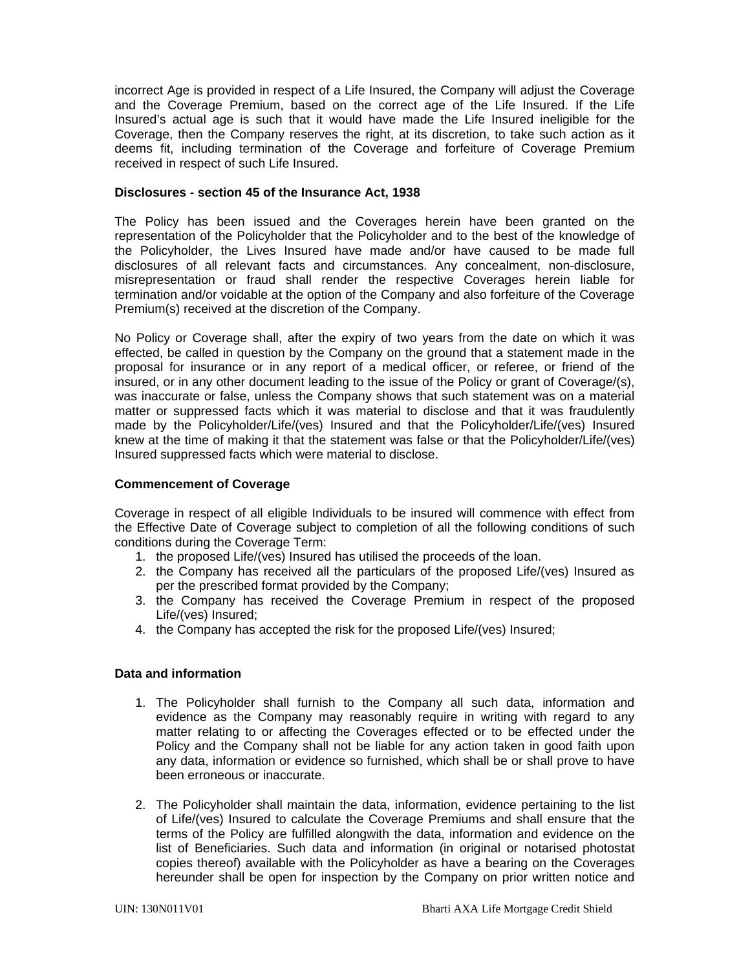incorrect Age is provided in respect of a Life Insured, the Company will adjust the Coverage and the Coverage Premium, based on the correct age of the Life Insured. If the Life Insured's actual age is such that it would have made the Life Insured ineligible for the Coverage, then the Company reserves the right, at its discretion, to take such action as it deems fit, including termination of the Coverage and forfeiture of Coverage Premium received in respect of such Life Insured.

#### **Disclosures - section 45 of the Insurance Act, 1938**

The Policy has been issued and the Coverages herein have been granted on the representation of the Policyholder that the Policyholder and to the best of the knowledge of the Policyholder, the Lives Insured have made and/or have caused to be made full disclosures of all relevant facts and circumstances. Any concealment, non-disclosure, misrepresentation or fraud shall render the respective Coverages herein liable for termination and/or voidable at the option of the Company and also forfeiture of the Coverage Premium(s) received at the discretion of the Company.

No Policy or Coverage shall, after the expiry of two years from the date on which it was effected, be called in question by the Company on the ground that a statement made in the proposal for insurance or in any report of a medical officer, or referee, or friend of the insured, or in any other document leading to the issue of the Policy or grant of Coverage/(s), was inaccurate or false, unless the Company shows that such statement was on a material matter or suppressed facts which it was material to disclose and that it was fraudulently made by the Policyholder/Life/(ves) Insured and that the Policyholder/Life/(ves) Insured knew at the time of making it that the statement was false or that the Policyholder/Life/(ves) Insured suppressed facts which were material to disclose.

#### **Commencement of Coverage**

Coverage in respect of all eligible Individuals to be insured will commence with effect from the Effective Date of Coverage subject to completion of all the following conditions of such conditions during the Coverage Term:

- 1. the proposed Life/(ves) Insured has utilised the proceeds of the loan.
- 2. the Company has received all the particulars of the proposed Life/(ves) Insured as per the prescribed format provided by the Company;
- 3. the Company has received the Coverage Premium in respect of the proposed Life/(ves) Insured;
- 4. the Company has accepted the risk for the proposed Life/(ves) Insured;

#### **Data and information**

- 1. The Policyholder shall furnish to the Company all such data, information and evidence as the Company may reasonably require in writing with regard to any matter relating to or affecting the Coverages effected or to be effected under the Policy and the Company shall not be liable for any action taken in good faith upon any data, information or evidence so furnished, which shall be or shall prove to have been erroneous or inaccurate.
- 2. The Policyholder shall maintain the data, information, evidence pertaining to the list of Life/(ves) Insured to calculate the Coverage Premiums and shall ensure that the terms of the Policy are fulfilled alongwith the data, information and evidence on the list of Beneficiaries. Such data and information (in original or notarised photostat copies thereof) available with the Policyholder as have a bearing on the Coverages hereunder shall be open for inspection by the Company on prior written notice and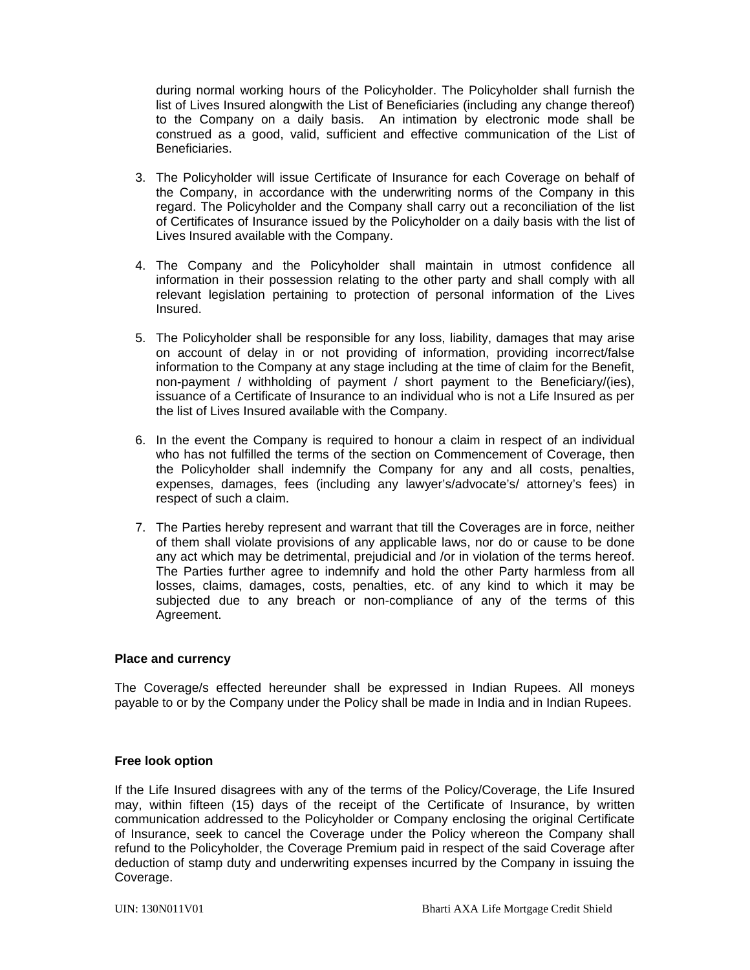during normal working hours of the Policyholder. The Policyholder shall furnish the list of Lives Insured alongwith the List of Beneficiaries (including any change thereof) to the Company on a daily basis. An intimation by electronic mode shall be construed as a good, valid, sufficient and effective communication of the List of Beneficiaries.

- 3. The Policyholder will issue Certificate of Insurance for each Coverage on behalf of the Company, in accordance with the underwriting norms of the Company in this regard. The Policyholder and the Company shall carry out a reconciliation of the list of Certificates of Insurance issued by the Policyholder on a daily basis with the list of Lives Insured available with the Company.
- 4. The Company and the Policyholder shall maintain in utmost confidence all information in their possession relating to the other party and shall comply with all relevant legislation pertaining to protection of personal information of the Lives Insured.
- 5. The Policyholder shall be responsible for any loss, liability, damages that may arise on account of delay in or not providing of information, providing incorrect/false information to the Company at any stage including at the time of claim for the Benefit, non-payment / withholding of payment / short payment to the Beneficiary/(ies), issuance of a Certificate of Insurance to an individual who is not a Life Insured as per the list of Lives Insured available with the Company.
- 6. In the event the Company is required to honour a claim in respect of an individual who has not fulfilled the terms of the section on Commencement of Coverage, then the Policyholder shall indemnify the Company for any and all costs, penalties, expenses, damages, fees (including any lawyer's/advocate's/ attorney's fees) in respect of such a claim.
- 7. The Parties hereby represent and warrant that till the Coverages are in force, neither of them shall violate provisions of any applicable laws, nor do or cause to be done any act which may be detrimental, prejudicial and /or in violation of the terms hereof. The Parties further agree to indemnify and hold the other Party harmless from all losses, claims, damages, costs, penalties, etc. of any kind to which it may be subjected due to any breach or non-compliance of any of the terms of this Agreement.

#### **Place and currency**

The Coverage/s effected hereunder shall be expressed in Indian Rupees. All moneys payable to or by the Company under the Policy shall be made in India and in Indian Rupees.

#### **Free look option**

If the Life Insured disagrees with any of the terms of the Policy/Coverage, the Life Insured may, within fifteen (15) days of the receipt of the Certificate of Insurance, by written communication addressed to the Policyholder or Company enclosing the original Certificate of Insurance, seek to cancel the Coverage under the Policy whereon the Company shall refund to the Policyholder, the Coverage Premium paid in respect of the said Coverage after deduction of stamp duty and underwriting expenses incurred by the Company in issuing the Coverage.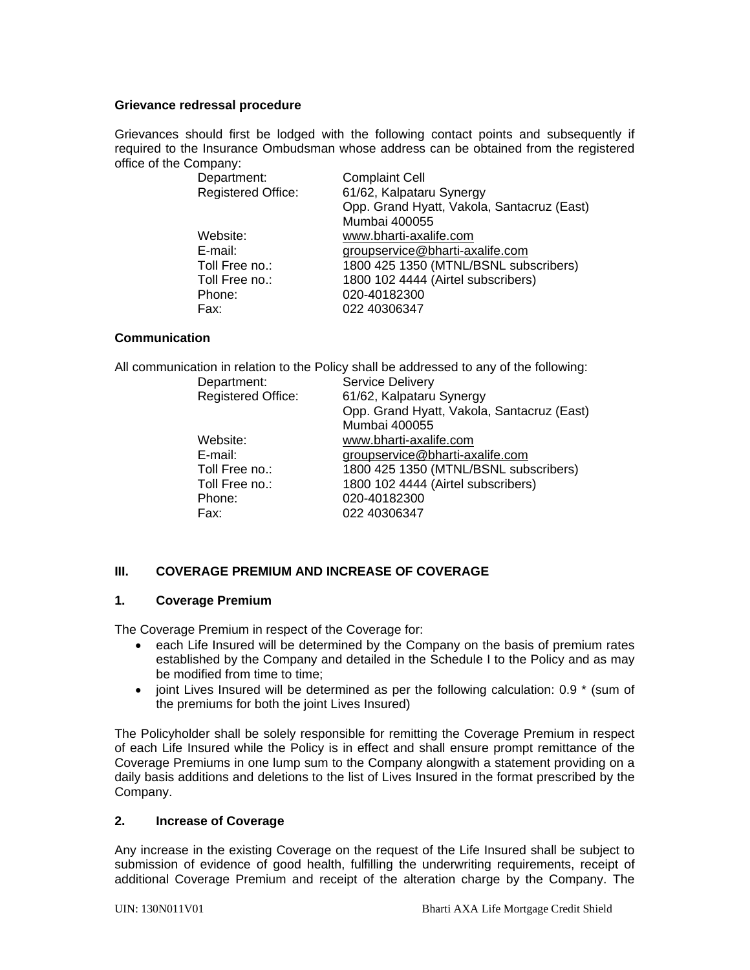#### **Grievance redressal procedure**

Grievances should first be lodged with the following contact points and subsequently if required to the Insurance Ombudsman whose address can be obtained from the registered office of the Company:

| Department:               | <b>Complaint Cell</b>                      |
|---------------------------|--------------------------------------------|
| <b>Registered Office:</b> | 61/62, Kalpataru Synergy                   |
|                           | Opp. Grand Hyatt, Vakola, Santacruz (East) |
|                           | Mumbai 400055                              |
| Website:                  | www.bharti-axalife.com                     |
| E-mail:                   | groupservice@bharti-axalife.com            |
| Toll Free no.:            | 1800 425 1350 (MTNL/BSNL subscribers)      |
| Toll Free no.:            | 1800 102 4444 (Airtel subscribers)         |
| Phone:                    | 020-40182300                               |
| Fax:                      | 022 40306347                               |
|                           |                                            |

#### **Communication**

| All communication in relation to the Policy shall be addressed to any of the following: |                                            |  |
|-----------------------------------------------------------------------------------------|--------------------------------------------|--|
| Department:                                                                             | <b>Service Delivery</b>                    |  |
| <b>Registered Office:</b>                                                               | 61/62, Kalpataru Synergy                   |  |
|                                                                                         | Opp. Grand Hyatt, Vakola, Santacruz (East) |  |
|                                                                                         | Mumbai 400055                              |  |
| Website:                                                                                | www.bharti-axalife.com                     |  |
| E-mail:                                                                                 | groupservice@bharti-axalife.com            |  |
| Toll Free no.:                                                                          | 1800 425 1350 (MTNL/BSNL subscribers)      |  |
| Toll Free no.:                                                                          | 1800 102 4444 (Airtel subscribers)         |  |
| Phone:                                                                                  | 020-40182300                               |  |
| Fax:                                                                                    | 022 40306347                               |  |
|                                                                                         |                                            |  |

# **III. COVERAGE PREMIUM AND INCREASE OF COVERAGE**

#### **1. Coverage Premium**

The Coverage Premium in respect of the Coverage for:

- each Life Insured will be determined by the Company on the basis of premium rates established by the Company and detailed in the Schedule I to the Policy and as may be modified from time to time;
- joint Lives Insured will be determined as per the following calculation: 0.9  $*$  (sum of the premiums for both the joint Lives Insured)

The Policyholder shall be solely responsible for remitting the Coverage Premium in respect of each Life Insured while the Policy is in effect and shall ensure prompt remittance of the Coverage Premiums in one lump sum to the Company alongwith a statement providing on a daily basis additions and deletions to the list of Lives Insured in the format prescribed by the Company.

#### **2. Increase of Coverage**

Any increase in the existing Coverage on the request of the Life Insured shall be subject to submission of evidence of good health, fulfilling the underwriting requirements, receipt of additional Coverage Premium and receipt of the alteration charge by the Company. The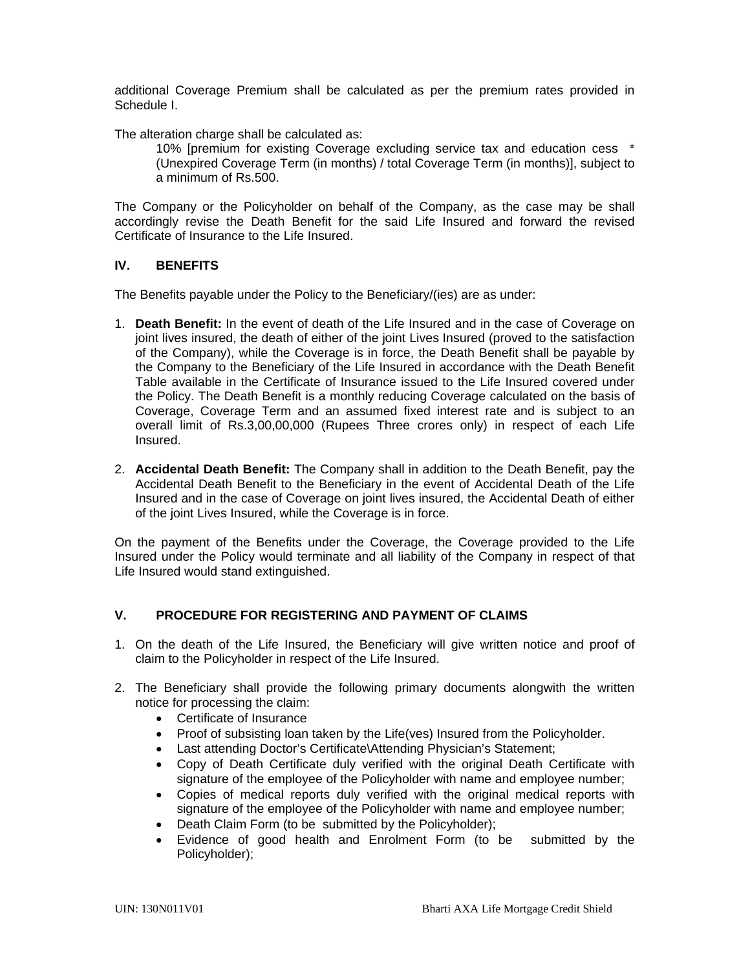additional Coverage Premium shall be calculated as per the premium rates provided in Schedule I.

The alteration charge shall be calculated as:

10% [premium for existing Coverage excluding service tax and education cess \* (Unexpired Coverage Term (in months) / total Coverage Term (in months)], subject to a minimum of Rs.500.

The Company or the Policyholder on behalf of the Company, as the case may be shall accordingly revise the Death Benefit for the said Life Insured and forward the revised Certificate of Insurance to the Life Insured.

# **IV. BENEFITS**

The Benefits payable under the Policy to the Beneficiary/(ies) are as under:

- 1. **Death Benefit:** In the event of death of the Life Insured and in the case of Coverage on joint lives insured, the death of either of the joint Lives Insured (proved to the satisfaction of the Company), while the Coverage is in force, the Death Benefit shall be payable by the Company to the Beneficiary of the Life Insured in accordance with the Death Benefit Table available in the Certificate of Insurance issued to the Life Insured covered under the Policy. The Death Benefit is a monthly reducing Coverage calculated on the basis of Coverage, Coverage Term and an assumed fixed interest rate and is subject to an overall limit of Rs.3,00,00,000 (Rupees Three crores only) in respect of each Life Insured.
- 2. **Accidental Death Benefit:** The Company shall in addition to the Death Benefit, pay the Accidental Death Benefit to the Beneficiary in the event of Accidental Death of the Life Insured and in the case of Coverage on joint lives insured, the Accidental Death of either of the joint Lives Insured, while the Coverage is in force.

On the payment of the Benefits under the Coverage, the Coverage provided to the Life Insured under the Policy would terminate and all liability of the Company in respect of that Life Insured would stand extinguished.

# **V. PROCEDURE FOR REGISTERING AND PAYMENT OF CLAIMS**

- 1. On the death of the Life Insured, the Beneficiary will give written notice and proof of claim to the Policyholder in respect of the Life Insured.
- 2. The Beneficiary shall provide the following primary documents alongwith the written notice for processing the claim:
	- Certificate of Insurance
	- Proof of subsisting loan taken by the Life(ves) Insured from the Policyholder.
	- Last attending Doctor's Certificate\Attending Physician's Statement;
	- Copy of Death Certificate duly verified with the original Death Certificate with signature of the employee of the Policyholder with name and employee number;
	- Copies of medical reports duly verified with the original medical reports with signature of the employee of the Policyholder with name and employee number;
	- Death Claim Form (to be submitted by the Policyholder);
	- Evidence of good health and Enrolment Form (to be submitted by the Policyholder);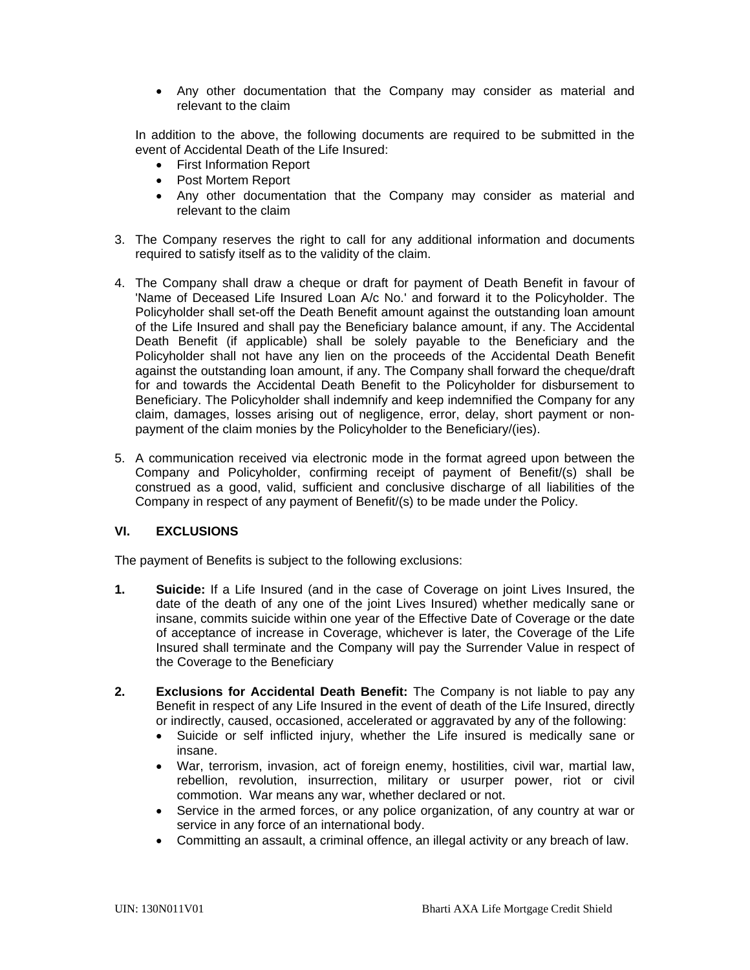Any other documentation that the Company may consider as material and relevant to the claim

In addition to the above, the following documents are required to be submitted in the event of Accidental Death of the Life Insured:

- First Information Report
- Post Mortem Report
- Any other documentation that the Company may consider as material and relevant to the claim
- 3. The Company reserves the right to call for any additional information and documents required to satisfy itself as to the validity of the claim.
- 4. The Company shall draw a cheque or draft for payment of Death Benefit in favour of 'Name of Deceased Life Insured Loan A/c No.' and forward it to the Policyholder. The Policyholder shall set-off the Death Benefit amount against the outstanding loan amount of the Life Insured and shall pay the Beneficiary balance amount, if any. The Accidental Death Benefit (if applicable) shall be solely payable to the Beneficiary and the Policyholder shall not have any lien on the proceeds of the Accidental Death Benefit against the outstanding loan amount, if any. The Company shall forward the cheque/draft for and towards the Accidental Death Benefit to the Policyholder for disbursement to Beneficiary. The Policyholder shall indemnify and keep indemnified the Company for any claim, damages, losses arising out of negligence, error, delay, short payment or nonpayment of the claim monies by the Policyholder to the Beneficiary/(ies).
- 5. A communication received via electronic mode in the format agreed upon between the Company and Policyholder, confirming receipt of payment of Benefit/(s) shall be construed as a good, valid, sufficient and conclusive discharge of all liabilities of the Company in respect of any payment of Benefit/(s) to be made under the Policy.

# **VI. EXCLUSIONS**

The payment of Benefits is subject to the following exclusions:

- **1. Suicide:** If a Life Insured (and in the case of Coverage on joint Lives Insured, the date of the death of any one of the joint Lives Insured) whether medically sane or insane, commits suicide within one year of the Effective Date of Coverage or the date of acceptance of increase in Coverage, whichever is later, the Coverage of the Life Insured shall terminate and the Company will pay the Surrender Value in respect of the Coverage to the Beneficiary
- **2. Exclusions for Accidental Death Benefit:** The Company is not liable to pay any Benefit in respect of any Life Insured in the event of death of the Life Insured, directly or indirectly, caused, occasioned, accelerated or aggravated by any of the following:
	- Suicide or self inflicted injury, whether the Life insured is medically sane or insane.
	- War, terrorism, invasion, act of foreign enemy, hostilities, civil war, martial law, rebellion, revolution, insurrection, military or usurper power, riot or civil commotion. War means any war, whether declared or not.
	- Service in the armed forces, or any police organization, of any country at war or service in any force of an international body.
	- Committing an assault, a criminal offence, an illegal activity or any breach of law.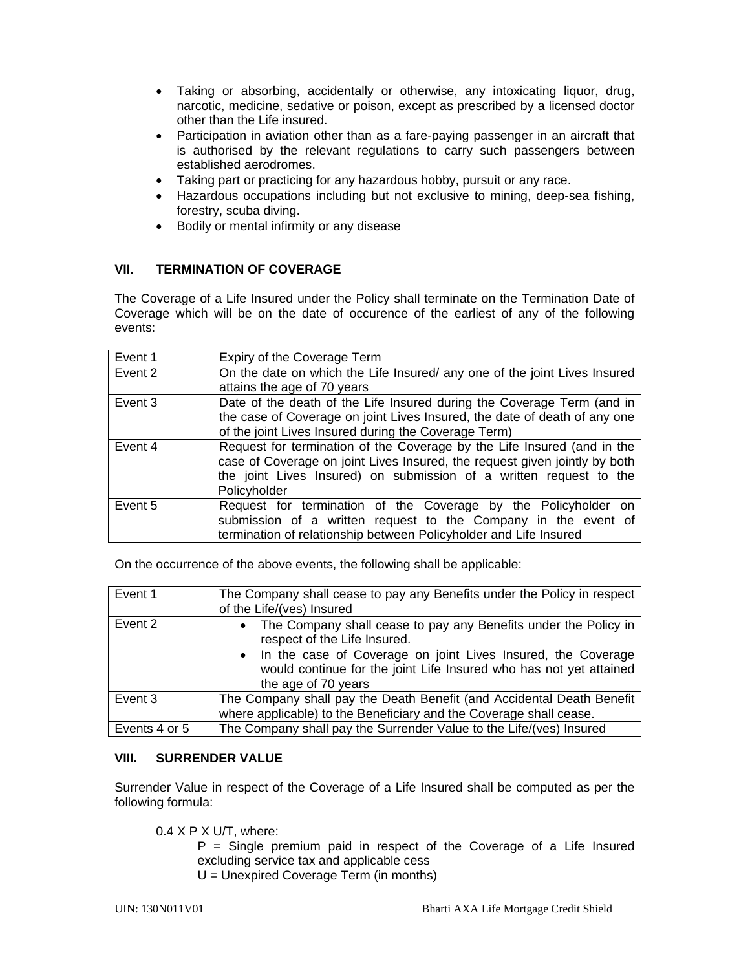- Taking or absorbing, accidentally or otherwise, any intoxicating liquor, drug, narcotic, medicine, sedative or poison, except as prescribed by a licensed doctor other than the Life insured.
- Participation in aviation other than as a fare-paying passenger in an aircraft that is authorised by the relevant regulations to carry such passengers between established aerodromes.
- Taking part or practicing for any hazardous hobby, pursuit or any race.
- Hazardous occupations including but not exclusive to mining, deep-sea fishing, forestry, scuba diving.
- Bodily or mental infirmity or any disease

# **VII. TERMINATION OF COVERAGE**

The Coverage of a Life Insured under the Policy shall terminate on the Termination Date of Coverage which will be on the date of occurence of the earliest of any of the following events:

| Event 1 | Expiry of the Coverage Term                                                |
|---------|----------------------------------------------------------------------------|
| Event 2 | On the date on which the Life Insured/ any one of the joint Lives Insured  |
|         | attains the age of 70 years                                                |
| Event 3 | Date of the death of the Life Insured during the Coverage Term (and in     |
|         | the case of Coverage on joint Lives Insured, the date of death of any one  |
|         | of the joint Lives Insured during the Coverage Term)                       |
| Event 4 | Request for termination of the Coverage by the Life Insured (and in the    |
|         | case of Coverage on joint Lives Insured, the request given jointly by both |
|         | the joint Lives Insured) on submission of a written request to the         |
|         | Policyholder                                                               |
| Event 5 | Request for termination of the Coverage by the Policyholder on             |
|         | submission of a written request to the Company in the event of             |
|         | termination of relationship between Policyholder and Life Insured          |

On the occurrence of the above events, the following shall be applicable:

| Event 1       | The Company shall cease to pay any Benefits under the Policy in respect<br>of the Life/(ves) Insured                                                                                                                                                             |
|---------------|------------------------------------------------------------------------------------------------------------------------------------------------------------------------------------------------------------------------------------------------------------------|
| Event 2       | • The Company shall cease to pay any Benefits under the Policy in<br>respect of the Life Insured.<br>• In the case of Coverage on joint Lives Insured, the Coverage<br>would continue for the joint Life Insured who has not yet attained<br>the age of 70 years |
| Event 3       | The Company shall pay the Death Benefit (and Accidental Death Benefit<br>where applicable) to the Beneficiary and the Coverage shall cease.                                                                                                                      |
| Events 4 or 5 | The Company shall pay the Surrender Value to the Life/(ves) Insured                                                                                                                                                                                              |

# **VIII. SURRENDER VALUE**

Surrender Value in respect of the Coverage of a Life Insured shall be computed as per the following formula:

 $0.4$  X P X U/T, where:

 $P =$  Single premium paid in respect of the Coverage of a Life Insured excluding service tax and applicable cess

U = Unexpired Coverage Term (in months)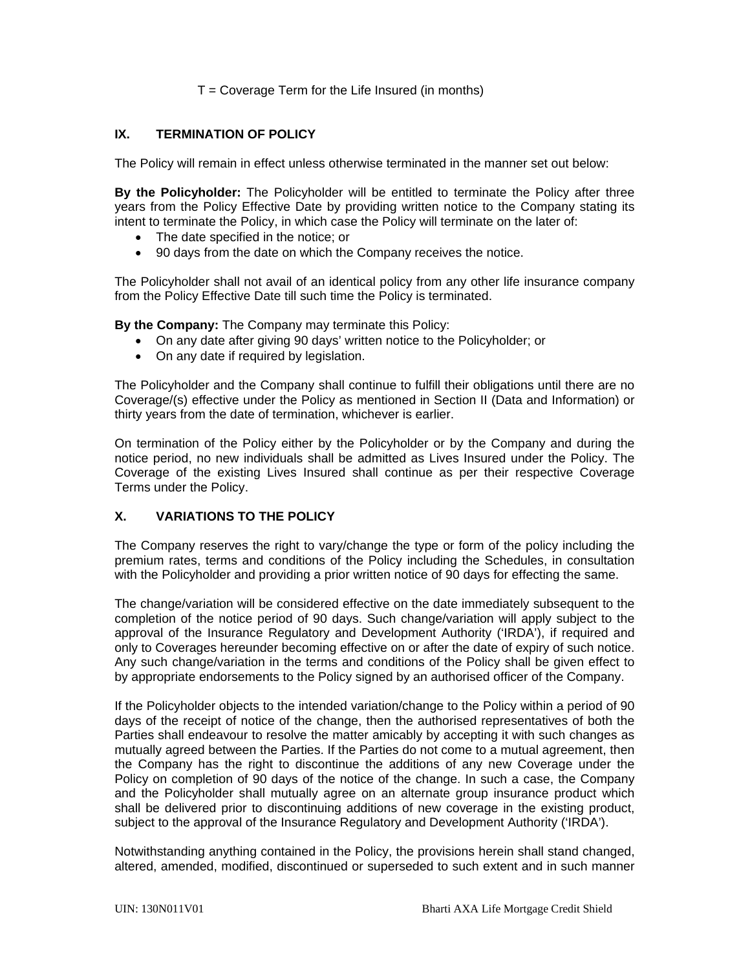# $T =$  Coverage Term for the Life Insured (in months)

# **IX. TERMINATION OF POLICY**

The Policy will remain in effect unless otherwise terminated in the manner set out below:

**By the Policyholder:** The Policyholder will be entitled to terminate the Policy after three years from the Policy Effective Date by providing written notice to the Company stating its intent to terminate the Policy, in which case the Policy will terminate on the later of:

- The date specified in the notice; or
- 90 days from the date on which the Company receives the notice.

The Policyholder shall not avail of an identical policy from any other life insurance company from the Policy Effective Date till such time the Policy is terminated.

**By the Company:** The Company may terminate this Policy:

- On any date after giving 90 days' written notice to the Policyholder; or
- On any date if required by legislation.

The Policyholder and the Company shall continue to fulfill their obligations until there are no Coverage/(s) effective under the Policy as mentioned in Section II (Data and Information) or thirty years from the date of termination, whichever is earlier.

On termination of the Policy either by the Policyholder or by the Company and during the notice period, no new individuals shall be admitted as Lives Insured under the Policy. The Coverage of the existing Lives Insured shall continue as per their respective Coverage Terms under the Policy.

# **X. VARIATIONS TO THE POLICY**

The Company reserves the right to vary/change the type or form of the policy including the premium rates, terms and conditions of the Policy including the Schedules, in consultation with the Policyholder and providing a prior written notice of 90 days for effecting the same.

The change/variation will be considered effective on the date immediately subsequent to the completion of the notice period of 90 days. Such change/variation will apply subject to the approval of the Insurance Regulatory and Development Authority ('IRDA'), if required and only to Coverages hereunder becoming effective on or after the date of expiry of such notice. Any such change/variation in the terms and conditions of the Policy shall be given effect to by appropriate endorsements to the Policy signed by an authorised officer of the Company.

If the Policyholder objects to the intended variation/change to the Policy within a period of 90 days of the receipt of notice of the change, then the authorised representatives of both the Parties shall endeavour to resolve the matter amicably by accepting it with such changes as mutually agreed between the Parties. If the Parties do not come to a mutual agreement, then the Company has the right to discontinue the additions of any new Coverage under the Policy on completion of 90 days of the notice of the change. In such a case, the Company and the Policyholder shall mutually agree on an alternate group insurance product which shall be delivered prior to discontinuing additions of new coverage in the existing product, subject to the approval of the Insurance Regulatory and Development Authority ('IRDA').

Notwithstanding anything contained in the Policy, the provisions herein shall stand changed, altered, amended, modified, discontinued or superseded to such extent and in such manner